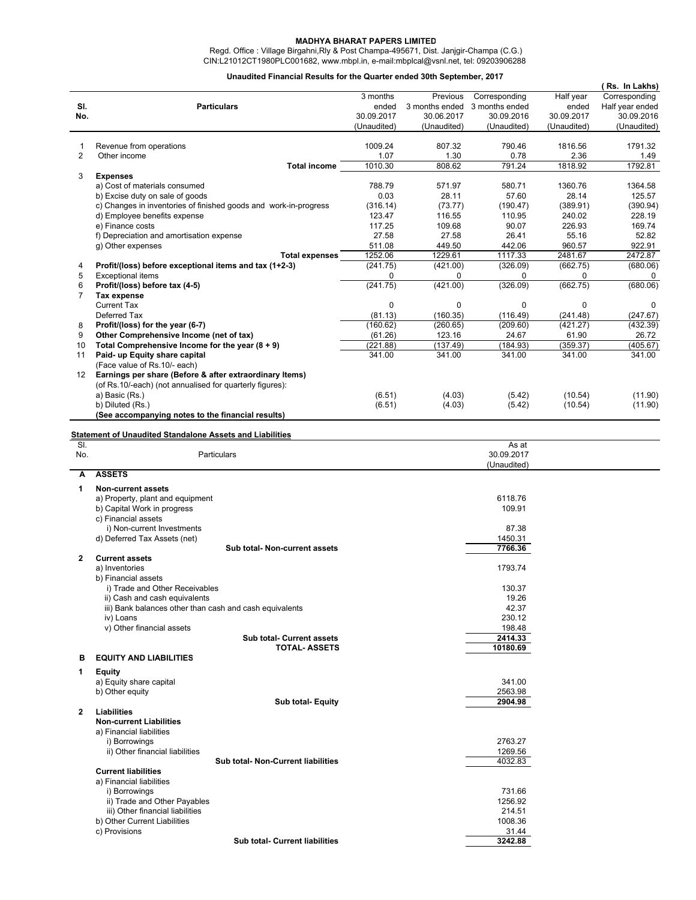## **MADHYA BHARAT PAPERS LIMITED**

 Regd. Office : Village Birgahni,Rly & Post Champa-495671, Dist. Janjgir-Champa (C.G.) CIN:L21012CT1980PLC001682, www.mbpl.in, e-mail:mbplcal@vsnl.net, tel: 09203906288

## **Unaudited Financial Results for the Quarter ended 30th September, 2017**

|                |                                                                                              |                     |                    |                      |                   | (Rs. In Lakhs)     |
|----------------|----------------------------------------------------------------------------------------------|---------------------|--------------------|----------------------|-------------------|--------------------|
|                |                                                                                              | 3 months            | Previous           | Corresponding        | Half year         | Corresponding      |
| SI.            | <b>Particulars</b>                                                                           | ended               | 3 months ended     | 3 months ended       | ended             | Half year ended    |
| No.            |                                                                                              | 30.09.2017          | 30.06.2017         | 30.09.2016           | 30.09.2017        | 30.09.2016         |
|                |                                                                                              | (Unaudited)         | (Unaudited)        | (Unaudited)          | (Unaudited)       | (Unaudited)        |
|                |                                                                                              |                     |                    |                      |                   |                    |
| 1              | Revenue from operations                                                                      | 1009.24             | 807.32             | 790.46               | 1816.56           | 1791.32            |
| 2              | Other income                                                                                 | 1.07                | 1.30               | 0.78                 | 2.36              | 1.49               |
|                | <b>Total income</b>                                                                          | 1010.30             | 808.62             | 791.24               | 1818.92           | 1792.81            |
| 3              | <b>Expenses</b>                                                                              |                     |                    |                      |                   |                    |
|                | a) Cost of materials consumed                                                                | 788.79              | 571.97             | 580.71               | 1360.76           | 1364.58            |
|                | b) Excise duty on sale of goods                                                              | 0.03                | 28.11              | 57.60                | 28.14             | 125.57             |
|                | c) Changes in inventories of finished goods and work-in-progress                             | (316.14)            | (73.77)            | (190.47)             | (389.91)          | (390.94)           |
|                | d) Employee benefits expense                                                                 | 123.47              | 116.55             | 110.95               | 240.02            | 228.19             |
|                | e) Finance costs                                                                             | 117.25              | 109.68             | 90.07                | 226.93            | 169.74             |
|                | f) Depreciation and amortisation expense                                                     | 27.58               | 27.58              | 26.41                | 55.16             | 52.82              |
|                | g) Other expenses                                                                            | 511.08              | 449.50             | 442.06               | 960.57            | 922.91             |
|                | <b>Total expenses</b>                                                                        | 1252.06             | 1229.61            | 1117.33              | 2481.67           | 2472.87            |
| 4              | Profit/(loss) before exceptional items and tax (1+2-3)                                       | (241.75)            | (421.00)           | (326.09)             | (662.75)          | (680.06)           |
| 5              | <b>Exceptional items</b>                                                                     | 0                   | 0                  | 0                    | 0                 | 0                  |
| 6              | Profit/(loss) before tax (4-5)                                                               | (241.75)            | (421.00)           | (326.09)             | (662.75)          | (680.06)           |
| $\overline{7}$ | <b>Tax expense</b>                                                                           |                     | $\mathbf 0$        | $\mathbf 0$          | 0                 | $\Omega$           |
|                | <b>Current Tax</b>                                                                           | 0                   |                    |                      |                   |                    |
|                | Deferred Tax                                                                                 | (81.13)             | (160.35)           | (116.49)<br>(209.60) | (241.48)          | (247.67)           |
| 8              | Profit/(loss) for the year (6-7)                                                             | (160.62)            | (260.65)           |                      | (421.27)          | (432.39)           |
| 9<br>10        | Other Comprehensive Income (net of tax)<br>Total Comprehensive Income for the year $(8 + 9)$ | (61.26)<br>(221.88) | 123.16<br>(137.49) | 24.67<br>(184.93)    | 61.90<br>(359.37) | 26.72<br>(405.67)  |
|                |                                                                                              |                     |                    |                      | 341.00            |                    |
| 11             | Paid- up Equity share capital                                                                | 341.00              | 341.00             | 341.00               |                   | 341.00             |
|                | (Face value of Rs.10/- each)<br>Earnings per share (Before & after extraordinary Items)      |                     |                    |                      |                   |                    |
| 12             | (of Rs.10/-each) (not annualised for quarterly figures):                                     |                     |                    |                      |                   |                    |
|                |                                                                                              |                     |                    |                      |                   |                    |
|                | a) Basic (Rs.)                                                                               | (6.51)              | (4.03)             | (5.42)               | (10.54)           | (11.90)<br>(11.90) |
|                | b) Diluted (Rs.)                                                                             | (6.51)              | (4.03)             | (5.42)               | (10.54)           |                    |
|                | (See accompanying notes to the financial results)                                            |                     |                    |                      |                   |                    |
|                | <b>Statement of Unaudited Standalone Assets and Liabilities</b>                              |                     |                    |                      |                   |                    |
| SI.            |                                                                                              |                     |                    | As at                |                   |                    |
| No.            | Particulars                                                                                  |                     |                    | 30.09.2017           |                   |                    |
|                |                                                                                              |                     |                    | (Unaudited)          |                   |                    |
| A              | <b>ASSETS</b>                                                                                |                     |                    |                      |                   |                    |
| 1              | <b>Non-current assets</b>                                                                    |                     |                    |                      |                   |                    |
|                | a) Property, plant and equipment                                                             |                     |                    | 6118.76              |                   |                    |
|                | b) Capital Work in progress                                                                  |                     |                    | 109.91               |                   |                    |
|                | c) Financial assets                                                                          |                     |                    |                      |                   |                    |
|                | i) Non-current Investments                                                                   |                     |                    | 87.38                |                   |                    |
|                | d) Deferred Tax Assets (net)                                                                 |                     |                    | 1450.31              |                   |                    |
|                | Sub total- Non-current assets                                                                |                     |                    | 7766.36              |                   |                    |
| $\mathbf{2}$   | <b>Current assets</b>                                                                        |                     |                    |                      |                   |                    |
|                | a) Inventories                                                                               |                     |                    | 1793.74              |                   |                    |
|                | b) Financial assets                                                                          |                     |                    |                      |                   |                    |
|                | i) Trade and Other Receivables                                                               |                     |                    | 130.37               |                   |                    |
|                | ii) Cash and cash equivalents                                                                |                     |                    | 19.26                |                   |                    |
|                | iii) Bank balances other than cash and cash equivalents                                      |                     |                    | 42.37                |                   |                    |
|                | iv) Loans                                                                                    |                     |                    | 230.12               |                   |                    |
|                | v) Other financial assets                                                                    |                     |                    | 198.48               |                   |                    |
|                | Sub total- Current assets                                                                    |                     |                    | 2414.33              |                   |                    |
|                | <b>TOTAL-ASSETS</b>                                                                          |                     |                    | 10180.69             |                   |                    |
| в              | <b>EQUITY AND LIABILITIES</b>                                                                |                     |                    |                      |                   |                    |
| 1              | Equity                                                                                       |                     |                    |                      |                   |                    |
|                | a) Equity share capital                                                                      |                     |                    | 341.00               |                   |                    |
|                | b) Other equity                                                                              |                     |                    | 2563.98              |                   |                    |
|                | <b>Sub total-Equity</b>                                                                      |                     |                    | 2904.98              |                   |                    |
| $\mathbf{2}$   | <b>Liabilities</b>                                                                           |                     |                    |                      |                   |                    |
|                | <b>Non-current Liabilities</b>                                                               |                     |                    |                      |                   |                    |
|                | a) Financial liabilities                                                                     |                     |                    |                      |                   |                    |
|                | i) Borrowings                                                                                |                     |                    | 2763.27              |                   |                    |
|                | ii) Other financial liabilities                                                              |                     |                    | 1269.56              |                   |                    |
|                | <b>Sub total- Non-Current liabilities</b>                                                    |                     |                    | 4032.83              |                   |                    |
|                | <b>Current liabilities</b>                                                                   |                     |                    |                      |                   |                    |
|                | a) Financial liabilities                                                                     |                     |                    |                      |                   |                    |
|                |                                                                                              |                     |                    | 731.66               |                   |                    |
|                | i) Borrowings                                                                                |                     |                    |                      |                   |                    |
|                | ii) Trade and Other Payables                                                                 |                     |                    | 1256.92              |                   |                    |
|                | iii) Other financial liabilities                                                             |                     |                    | 214.51               |                   |                    |
|                | b) Other Current Liabilities                                                                 |                     |                    | 1008.36              |                   |                    |
|                | c) Provisions                                                                                |                     |                    | 31.44<br>3242.88     |                   |                    |